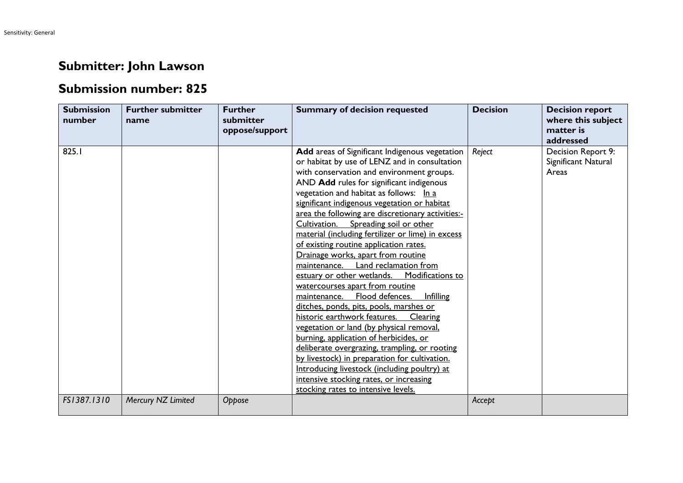## **Submitter: John Lawson**

## **Submission number: 825**

| <b>Submission</b><br>number | <b>Further submitter</b><br>name | <b>Further</b><br>submitter<br>oppose/support | <b>Summary of decision requested</b>                                                                                                                                                                                                                                                                                                                                                                                                                                                                                                                                                                                                                                                                                                                                                                                                                                                                                                                                                                                                                                                                              | <b>Decision</b> | <b>Decision report</b><br>where this subject<br>matter is<br>addressed |
|-----------------------------|----------------------------------|-----------------------------------------------|-------------------------------------------------------------------------------------------------------------------------------------------------------------------------------------------------------------------------------------------------------------------------------------------------------------------------------------------------------------------------------------------------------------------------------------------------------------------------------------------------------------------------------------------------------------------------------------------------------------------------------------------------------------------------------------------------------------------------------------------------------------------------------------------------------------------------------------------------------------------------------------------------------------------------------------------------------------------------------------------------------------------------------------------------------------------------------------------------------------------|-----------------|------------------------------------------------------------------------|
| 825.1                       |                                  |                                               | Add areas of Significant Indigenous vegetation<br>or habitat by use of LENZ and in consultation<br>with conservation and environment groups.<br>AND Add rules for significant indigenous<br>vegetation and habitat as follows: In a<br>significant indigenous vegetation or habitat<br>area the following are discretionary activities:-<br>Cultivation. Spreading soil or other<br>material (including fertilizer or lime) in excess<br>of existing routine application rates.<br>Drainage works, apart from routine<br>maintenance. Land reclamation from<br>estuary or other wetlands.<br>Modifications to<br>watercourses apart from routine<br>Flood defences.<br>Infilling<br>maintenance.<br>ditches, ponds, pits, pools, marshes or<br>historic earthwork features.<br>Clearing<br>vegetation or land (by physical removal,<br>burning, application of herbicides, or<br>deliberate overgrazing, trampling, or rooting<br>by livestock) in preparation for cultivation.<br>Introducing livestock (including poultry) at<br>intensive stocking rates, or increasing<br>stocking rates to intensive levels. | Reject          | Decision Report 9:<br>Significant Natural<br>Areas                     |
| FS1387.1310                 | Mercury NZ Limited               | Oppose                                        |                                                                                                                                                                                                                                                                                                                                                                                                                                                                                                                                                                                                                                                                                                                                                                                                                                                                                                                                                                                                                                                                                                                   | Accept          |                                                                        |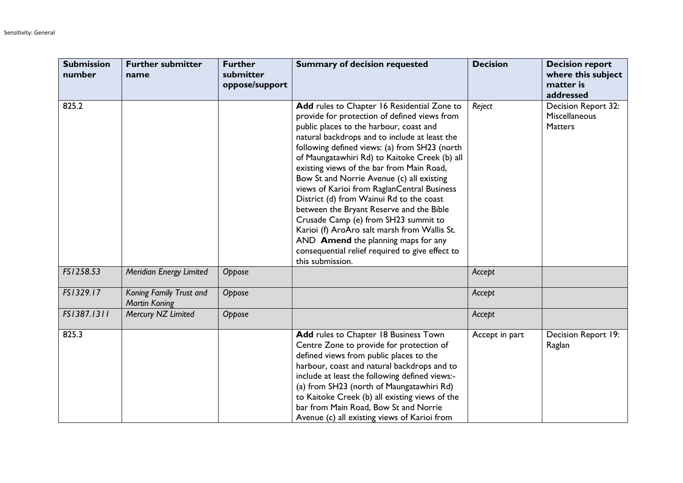| <b>Submission</b><br>number | <b>Further submitter</b><br>name                | <b>Further</b><br>submitter<br>oppose/support | <b>Summary of decision requested</b>                                                                                                                                                                                                                                                                                                                                                                                                                                                                                                                                                                                                                                                                                             | <b>Decision</b> | <b>Decision report</b><br>where this subject<br>matter is<br>addressed |
|-----------------------------|-------------------------------------------------|-----------------------------------------------|----------------------------------------------------------------------------------------------------------------------------------------------------------------------------------------------------------------------------------------------------------------------------------------------------------------------------------------------------------------------------------------------------------------------------------------------------------------------------------------------------------------------------------------------------------------------------------------------------------------------------------------------------------------------------------------------------------------------------------|-----------------|------------------------------------------------------------------------|
| 825.2                       |                                                 |                                               | Add rules to Chapter 16 Residential Zone to<br>provide for protection of defined views from<br>public places to the harbour, coast and<br>natural backdrops and to include at least the<br>following defined views: (a) from SH23 (north<br>of Maungatawhiri Rd) to Kaitoke Creek (b) all<br>existing views of the bar from Main Road,<br>Bow St and Norrie Avenue (c) all existing<br>views of Karioi from RaglanCentral Business<br>District (d) from Wainui Rd to the coast<br>between the Bryant Reserve and the Bible<br>Crusade Camp (e) from SH23 summit to<br>Karioi (f) AroAro salt marsh from Wallis St.<br>AND Amend the planning maps for any<br>consequential relief required to give effect to<br>this submission. | Reject          | Decision Report 32:<br>Miscellaneous<br><b>Matters</b>                 |
| FS1258.53                   | Meridian Energy Limited                         | Oppose                                        |                                                                                                                                                                                                                                                                                                                                                                                                                                                                                                                                                                                                                                                                                                                                  | Accept          |                                                                        |
| FS1329.17                   | Koning Family Trust and<br><b>Martin Koning</b> | Oppose                                        |                                                                                                                                                                                                                                                                                                                                                                                                                                                                                                                                                                                                                                                                                                                                  | Accept          |                                                                        |
| FS1387.1311                 | Mercury NZ Limited                              | Oppose                                        |                                                                                                                                                                                                                                                                                                                                                                                                                                                                                                                                                                                                                                                                                                                                  | Accept          |                                                                        |
| 825.3                       |                                                 |                                               | Add rules to Chapter 18 Business Town<br>Centre Zone to provide for protection of<br>defined views from public places to the<br>harbour, coast and natural backdrops and to<br>include at least the following defined views:-<br>(a) from SH23 (north of Maungatawhiri Rd)<br>to Kaitoke Creek (b) all existing views of the<br>bar from Main Road, Bow St and Norrie<br>Avenue (c) all existing views of Karioi from                                                                                                                                                                                                                                                                                                            | Accept in part  | Decision Report 19:<br>Raglan                                          |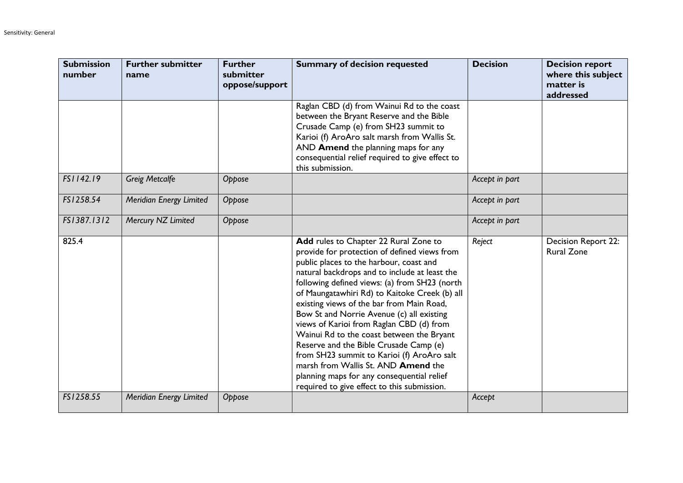| <b>Submission</b><br>number | <b>Further submitter</b><br>name | <b>Further</b><br>submitter<br>oppose/support | <b>Summary of decision requested</b>                                                                                                                                                                                                                                                                                                                                                                                                                                                                                                                                                                                                                                                                      | <b>Decision</b> | <b>Decision report</b><br>where this subject<br>matter is<br>addressed |
|-----------------------------|----------------------------------|-----------------------------------------------|-----------------------------------------------------------------------------------------------------------------------------------------------------------------------------------------------------------------------------------------------------------------------------------------------------------------------------------------------------------------------------------------------------------------------------------------------------------------------------------------------------------------------------------------------------------------------------------------------------------------------------------------------------------------------------------------------------------|-----------------|------------------------------------------------------------------------|
|                             |                                  |                                               | Raglan CBD (d) from Wainui Rd to the coast<br>between the Bryant Reserve and the Bible<br>Crusade Camp (e) from SH23 summit to<br>Karioi (f) AroAro salt marsh from Wallis St.<br>AND Amend the planning maps for any<br>consequential relief required to give effect to<br>this submission.                                                                                                                                                                                                                                                                                                                                                                                                              |                 |                                                                        |
| FS1142.19                   | <b>Greig Metcalfe</b>            | Oppose                                        |                                                                                                                                                                                                                                                                                                                                                                                                                                                                                                                                                                                                                                                                                                           | Accept in part  |                                                                        |
| FS1258.54                   | Meridian Energy Limited          | Oppose                                        |                                                                                                                                                                                                                                                                                                                                                                                                                                                                                                                                                                                                                                                                                                           | Accept in part  |                                                                        |
| FS1387.1312                 | Mercury NZ Limited               | Oppose                                        |                                                                                                                                                                                                                                                                                                                                                                                                                                                                                                                                                                                                                                                                                                           | Accept in part  |                                                                        |
| 825.4                       |                                  |                                               | Add rules to Chapter 22 Rural Zone to<br>provide for protection of defined views from<br>public places to the harbour, coast and<br>natural backdrops and to include at least the<br>following defined views: (a) from SH23 (north<br>of Maungatawhiri Rd) to Kaitoke Creek (b) all<br>existing views of the bar from Main Road,<br>Bow St and Norrie Avenue (c) all existing<br>views of Karioi from Raglan CBD (d) from<br>Wainui Rd to the coast between the Bryant<br>Reserve and the Bible Crusade Camp (e)<br>from SH23 summit to Karioi (f) AroAro salt<br>marsh from Wallis St. AND <b>Amend</b> the<br>planning maps for any consequential relief<br>required to give effect to this submission. | Reject          | Decision Report 22:<br><b>Rural Zone</b>                               |
| FS1258.55                   | Meridian Energy Limited          | Oppose                                        |                                                                                                                                                                                                                                                                                                                                                                                                                                                                                                                                                                                                                                                                                                           | Accept          |                                                                        |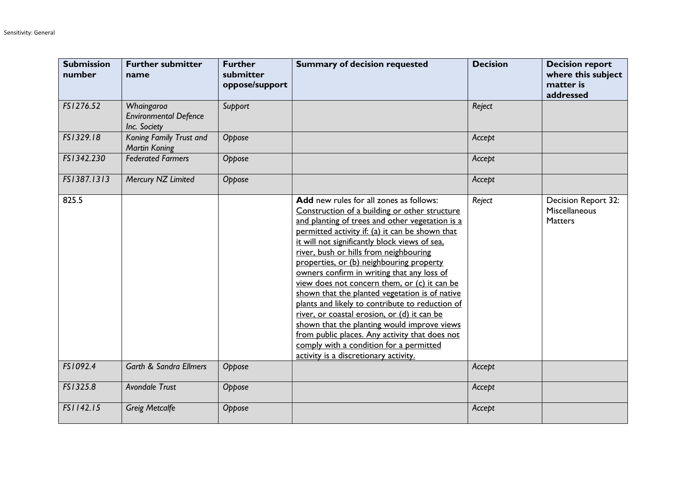| <b>Submission</b><br>number | <b>Further submitter</b><br>name                           | <b>Further</b><br>submitter<br>oppose/support | <b>Summary of decision requested</b>                                                                                                                                                                                                                                                                                                                                                                                                                                                                                                                                                                                                                                                                                                                                         | <b>Decision</b> | <b>Decision report</b><br>where this subject<br>matter is<br>addressed |
|-----------------------------|------------------------------------------------------------|-----------------------------------------------|------------------------------------------------------------------------------------------------------------------------------------------------------------------------------------------------------------------------------------------------------------------------------------------------------------------------------------------------------------------------------------------------------------------------------------------------------------------------------------------------------------------------------------------------------------------------------------------------------------------------------------------------------------------------------------------------------------------------------------------------------------------------------|-----------------|------------------------------------------------------------------------|
| FS1276.52                   | Whaingaroa<br><b>Environmental Defence</b><br>Inc. Society | Support                                       |                                                                                                                                                                                                                                                                                                                                                                                                                                                                                                                                                                                                                                                                                                                                                                              | Reject          |                                                                        |
| FS1329.18                   | Koning Family Trust and<br><b>Martin Koning</b>            | Oppose                                        |                                                                                                                                                                                                                                                                                                                                                                                                                                                                                                                                                                                                                                                                                                                                                                              | Accept          |                                                                        |
| FS1342.230                  | <b>Federated Farmers</b>                                   | Oppose                                        |                                                                                                                                                                                                                                                                                                                                                                                                                                                                                                                                                                                                                                                                                                                                                                              | Accept          |                                                                        |
| FS1387.1313                 | Mercury NZ Limited                                         | Oppose                                        |                                                                                                                                                                                                                                                                                                                                                                                                                                                                                                                                                                                                                                                                                                                                                                              | Accept          |                                                                        |
| 825.5                       |                                                            |                                               | Add new rules for all zones as follows:<br>Construction of a building or other structure<br>and planting of trees and other vegetation is a<br>permitted activity if: (a) it can be shown that<br>it will not significantly block views of sea.<br>river, bush or hills from neighbouring<br>properties, or (b) neighbouring property<br>owners confirm in writing that any loss of<br>view does not concern them, or (c) it can be<br>shown that the planted vegetation is of native<br>plants and likely to contribute to reduction of<br>river, or coastal erosion, or (d) it can be<br>shown that the planting would improve views<br>from public places. Any activity that does not<br>comply with a condition for a permitted<br>activity is a discretionary activity. | Reject          | Decision Report 32:<br>Miscellaneous<br><b>Matters</b>                 |
| FS1092.4                    | <b>Garth &amp; Sandra Ellmers</b>                          | Oppose                                        |                                                                                                                                                                                                                                                                                                                                                                                                                                                                                                                                                                                                                                                                                                                                                                              | Accept          |                                                                        |
| FS1325.8                    | <b>Avondale Trust</b>                                      | Oppose                                        |                                                                                                                                                                                                                                                                                                                                                                                                                                                                                                                                                                                                                                                                                                                                                                              | Accept          |                                                                        |
| FS1142.15                   | <b>Greig Metcalfe</b>                                      | Oppose                                        |                                                                                                                                                                                                                                                                                                                                                                                                                                                                                                                                                                                                                                                                                                                                                                              | Accept          |                                                                        |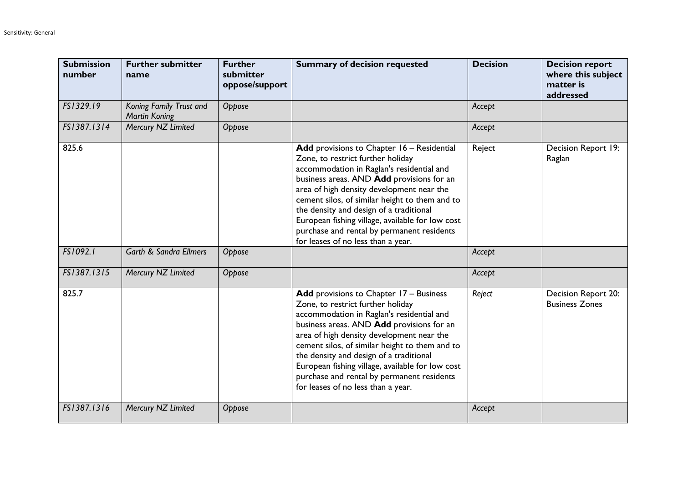| <b>Submission</b><br>number | <b>Further submitter</b><br>name                | <b>Further</b><br>submitter<br>oppose/support | <b>Summary of decision requested</b>                                                                                                                                                                                                                                                                                                                                                                                                                        | <b>Decision</b> | <b>Decision report</b><br>where this subject<br>matter is<br>addressed |
|-----------------------------|-------------------------------------------------|-----------------------------------------------|-------------------------------------------------------------------------------------------------------------------------------------------------------------------------------------------------------------------------------------------------------------------------------------------------------------------------------------------------------------------------------------------------------------------------------------------------------------|-----------------|------------------------------------------------------------------------|
| FS1329.19                   | Koning Family Trust and<br><b>Martin Koning</b> | Oppose                                        |                                                                                                                                                                                                                                                                                                                                                                                                                                                             | Accept          |                                                                        |
| FS1387.1314                 | Mercury NZ Limited                              | Oppose                                        |                                                                                                                                                                                                                                                                                                                                                                                                                                                             | Accept          |                                                                        |
| 825.6                       |                                                 |                                               | Add provisions to Chapter 16 - Residential<br>Zone, to restrict further holiday<br>accommodation in Raglan's residential and<br>business areas. AND Add provisions for an<br>area of high density development near the<br>cement silos, of similar height to them and to<br>the density and design of a traditional<br>European fishing village, available for low cost<br>purchase and rental by permanent residents<br>for leases of no less than a year. | Reject          | Decision Report 19:<br>Raglan                                          |
| FS1092.1                    | <b>Garth &amp; Sandra Ellmers</b>               | Oppose                                        |                                                                                                                                                                                                                                                                                                                                                                                                                                                             | Accept          |                                                                        |
| FS1387.1315                 | Mercury NZ Limited                              | Oppose                                        |                                                                                                                                                                                                                                                                                                                                                                                                                                                             | Accept          |                                                                        |
| 825.7                       |                                                 |                                               | Add provisions to Chapter 17 - Business<br>Zone, to restrict further holiday<br>accommodation in Raglan's residential and<br>business areas. AND Add provisions for an<br>area of high density development near the<br>cement silos, of similar height to them and to<br>the density and design of a traditional<br>European fishing village, available for low cost<br>purchase and rental by permanent residents<br>for leases of no less than a year.    | Reject          | Decision Report 20:<br><b>Business Zones</b>                           |
| FS1387.1316                 | Mercury NZ Limited                              | Oppose                                        |                                                                                                                                                                                                                                                                                                                                                                                                                                                             | Accept          |                                                                        |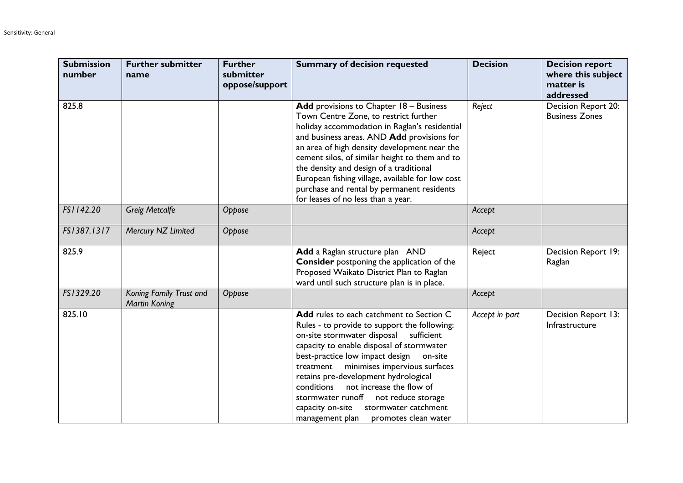| <b>Submission</b><br>number | <b>Further submitter</b><br>name                | <b>Further</b><br>submitter<br>oppose/support | <b>Summary of decision requested</b>                                                                                                                                                                                                                                                                                                                                                                                                                                                           | <b>Decision</b> | <b>Decision report</b><br>where this subject<br>matter is<br>addressed |
|-----------------------------|-------------------------------------------------|-----------------------------------------------|------------------------------------------------------------------------------------------------------------------------------------------------------------------------------------------------------------------------------------------------------------------------------------------------------------------------------------------------------------------------------------------------------------------------------------------------------------------------------------------------|-----------------|------------------------------------------------------------------------|
| 825.8                       |                                                 |                                               | Add provisions to Chapter 18 - Business<br>Town Centre Zone, to restrict further<br>holiday accommodation in Raglan's residential<br>and business areas. AND Add provisions for<br>an area of high density development near the<br>cement silos, of similar height to them and to<br>the density and design of a traditional<br>European fishing village, available for low cost<br>purchase and rental by permanent residents<br>for leases of no less than a year.                           | Reject          | Decision Report 20:<br><b>Business Zones</b>                           |
| FS1142.20                   | <b>Greig Metcalfe</b>                           | Oppose                                        |                                                                                                                                                                                                                                                                                                                                                                                                                                                                                                | Accept          |                                                                        |
| FS1387.1317                 | Mercury NZ Limited                              | Oppose                                        |                                                                                                                                                                                                                                                                                                                                                                                                                                                                                                | Accept          |                                                                        |
| 825.9                       |                                                 |                                               | Add a Raglan structure plan AND<br><b>Consider</b> postponing the application of the<br>Proposed Waikato District Plan to Raglan<br>ward until such structure plan is in place.                                                                                                                                                                                                                                                                                                                | Reject          | Decision Report 19:<br>Raglan                                          |
| FS1329.20                   | Koning Family Trust and<br><b>Martin Koning</b> | Oppose                                        |                                                                                                                                                                                                                                                                                                                                                                                                                                                                                                | Accept          |                                                                        |
| 825.10                      |                                                 |                                               | Add rules to each catchment to Section C<br>Rules - to provide to support the following:<br>on-site stormwater disposal<br>sufficient<br>capacity to enable disposal of stormwater<br>best-practice low impact design<br>on-site<br>treatment minimises impervious surfaces<br>retains pre-development hydrological<br>not increase the flow of<br>conditions<br>stormwater runoff<br>not reduce storage<br>stormwater catchment<br>capacity on-site<br>management plan   promotes clean water | Accept in part  | Decision Report 13:<br>Infrastructure                                  |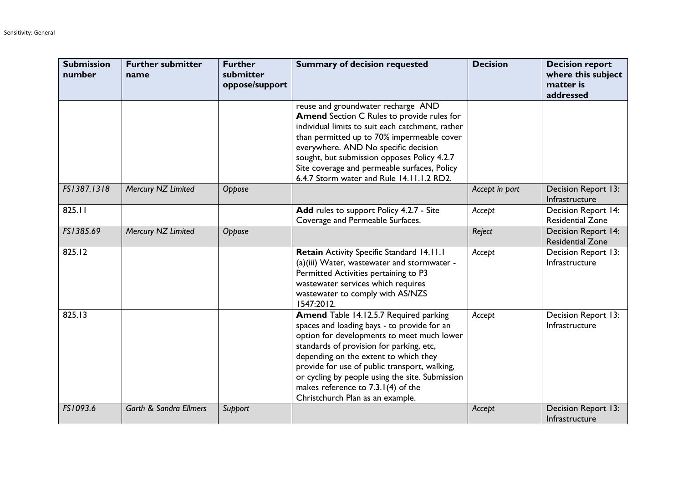| <b>Submission</b><br>number | <b>Further submitter</b><br>name  | <b>Further</b><br>submitter<br>oppose/support | <b>Summary of decision requested</b>                                                                                                                                                                                                                                                                                                                                                                   | <b>Decision</b> | <b>Decision report</b><br>where this subject<br>matter is<br>addressed |
|-----------------------------|-----------------------------------|-----------------------------------------------|--------------------------------------------------------------------------------------------------------------------------------------------------------------------------------------------------------------------------------------------------------------------------------------------------------------------------------------------------------------------------------------------------------|-----------------|------------------------------------------------------------------------|
|                             |                                   |                                               | reuse and groundwater recharge AND<br><b>Amend</b> Section C Rules to provide rules for<br>individual limits to suit each catchment, rather<br>than permitted up to 70% impermeable cover<br>everywhere. AND No specific decision<br>sought, but submission opposes Policy 4.2.7<br>Site coverage and permeable surfaces, Policy<br>6.4.7 Storm water and Rule 14.11.1.2 RD2.                          |                 |                                                                        |
| FS1387.1318                 | Mercury NZ Limited                | Oppose                                        |                                                                                                                                                                                                                                                                                                                                                                                                        | Accept in part  | Decision Report 13:<br>Infrastructure                                  |
| 825.11                      |                                   |                                               | Add rules to support Policy 4.2.7 - Site<br>Coverage and Permeable Surfaces.                                                                                                                                                                                                                                                                                                                           | Accept          | <b>Decision Report 14:</b><br><b>Residential Zone</b>                  |
| FS1385.69                   | Mercury NZ Limited                | Oppose                                        |                                                                                                                                                                                                                                                                                                                                                                                                        | Reject          | Decision Report 14:<br><b>Residential Zone</b>                         |
| 825.12                      |                                   |                                               | Retain Activity Specific Standard 14.11.1<br>(a)(iii) Water, wastewater and stormwater -<br>Permitted Activities pertaining to P3<br>wastewater services which requires<br>wastewater to comply with AS/NZS<br>1547:2012.                                                                                                                                                                              | Accept          | Decision Report 13:<br>Infrastructure                                  |
| 825.13                      |                                   |                                               | Amend Table 14.12.5.7 Required parking<br>spaces and loading bays - to provide for an<br>option for developments to meet much lower<br>standards of provision for parking, etc,<br>depending on the extent to which they<br>provide for use of public transport, walking,<br>or cycling by people using the site. Submission<br>makes reference to 7.3.1(4) of the<br>Christchurch Plan as an example. | Accept          | Decision Report 13:<br>Infrastructure                                  |
| FS1093.6                    | <b>Garth &amp; Sandra Ellmers</b> | Support                                       |                                                                                                                                                                                                                                                                                                                                                                                                        | Accept          | Decision Report 13:<br>Infrastructure                                  |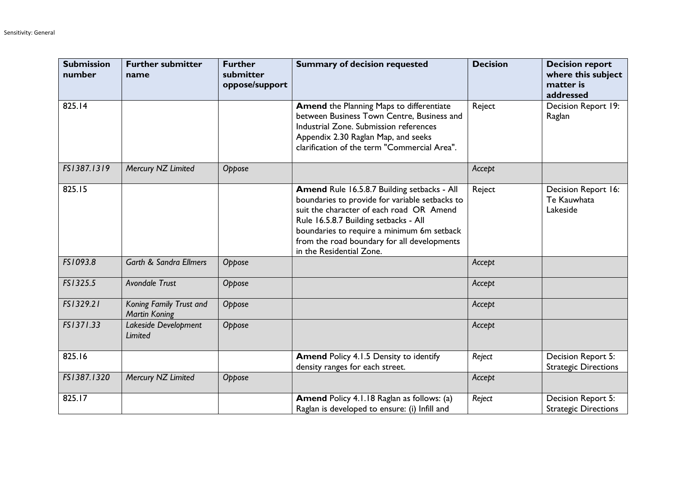| <b>Submission</b><br>number | <b>Further submitter</b><br>name                | <b>Further</b><br>submitter<br>oppose/support | <b>Summary of decision requested</b>                                                                                                                                                                                                                                                                        | <b>Decision</b> | <b>Decision report</b><br>where this subject<br>matter is<br>addressed |
|-----------------------------|-------------------------------------------------|-----------------------------------------------|-------------------------------------------------------------------------------------------------------------------------------------------------------------------------------------------------------------------------------------------------------------------------------------------------------------|-----------------|------------------------------------------------------------------------|
| 825.14                      |                                                 |                                               | <b>Amend the Planning Maps to differentiate</b><br>between Business Town Centre, Business and<br>Industrial Zone. Submission references<br>Appendix 2.30 Raglan Map, and seeks<br>clarification of the term "Commercial Area".                                                                              | Reject          | Decision Report 19:<br>Raglan                                          |
| FS1387.1319                 | Mercury NZ Limited                              | Oppose                                        |                                                                                                                                                                                                                                                                                                             | Accept          |                                                                        |
| 825.15                      |                                                 |                                               | Amend Rule 16.5.8.7 Building setbacks - All<br>boundaries to provide for variable setbacks to<br>suit the character of each road OR Amend<br>Rule 16.5.8.7 Building setbacks - All<br>boundaries to require a minimum 6m setback<br>from the road boundary for all developments<br>in the Residential Zone. | Reject          | Decision Report 16:<br>Te Kauwhata<br>Lakeside                         |
| FS1093.8                    | <b>Garth &amp; Sandra Ellmers</b>               | Oppose                                        |                                                                                                                                                                                                                                                                                                             | Accept          |                                                                        |
| FS1325.5                    | <b>Avondale Trust</b>                           | Oppose                                        |                                                                                                                                                                                                                                                                                                             | Accept          |                                                                        |
| FS1329.21                   | Koning Family Trust and<br><b>Martin Koning</b> | Oppose                                        |                                                                                                                                                                                                                                                                                                             | Accept          |                                                                        |
| FS1371.33                   | Lakeside Development<br>Limited                 | Oppose                                        |                                                                                                                                                                                                                                                                                                             | Accept          |                                                                        |
| 825.16                      |                                                 |                                               | <b>Amend Policy 4.1.5 Density to identify</b><br>density ranges for each street.                                                                                                                                                                                                                            | Reject          | Decision Report 5:<br><b>Strategic Directions</b>                      |
| FS1387.1320                 | Mercury NZ Limited                              | Oppose                                        |                                                                                                                                                                                                                                                                                                             | Accept          |                                                                        |
| 825.17                      |                                                 |                                               | <b>Amend Policy 4.1.18 Raglan as follows: (a)</b><br>Raglan is developed to ensure: (i) Infill and                                                                                                                                                                                                          | Reject          | Decision Report 5:<br><b>Strategic Directions</b>                      |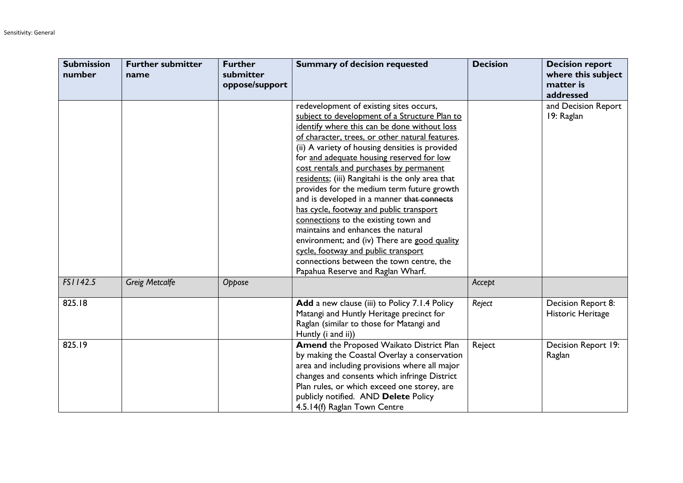| <b>Submission</b><br>number | <b>Further submitter</b><br>name | <b>Further</b><br>submitter<br>oppose/support | <b>Summary of decision requested</b>                                                                                                                                                                                                                                                                                                                                                                                                                                                                                                                                                                                                                                                                                                                                                    | <b>Decision</b> | <b>Decision report</b><br>where this subject<br>matter is<br>addressed |
|-----------------------------|----------------------------------|-----------------------------------------------|-----------------------------------------------------------------------------------------------------------------------------------------------------------------------------------------------------------------------------------------------------------------------------------------------------------------------------------------------------------------------------------------------------------------------------------------------------------------------------------------------------------------------------------------------------------------------------------------------------------------------------------------------------------------------------------------------------------------------------------------------------------------------------------------|-----------------|------------------------------------------------------------------------|
|                             |                                  |                                               | redevelopment of existing sites occurs,<br>subject to development of a Structure Plan to<br>identify where this can be done without loss<br>of character, trees, or other natural features.<br>(ii) A variety of housing densities is provided<br>for and adequate housing reserved for low<br>cost rentals and purchases by permanent<br>residents; (iii) Rangitahi is the only area that<br>provides for the medium term future growth<br>and is developed in a manner that connects<br>has cycle, footway and public transport<br>connections to the existing town and<br>maintains and enhances the natural<br>environment; and (iv) There are good quality<br>cycle, footway and public transport<br>connections between the town centre, the<br>Papahua Reserve and Raglan Wharf. |                 | and Decision Report<br>19: Raglan                                      |
| FS1142.5                    | <b>Greig Metcalfe</b>            | Oppose                                        |                                                                                                                                                                                                                                                                                                                                                                                                                                                                                                                                                                                                                                                                                                                                                                                         | Accept          |                                                                        |
| 825.18                      |                                  |                                               | Add a new clause (iii) to Policy 7.1.4 Policy<br>Matangi and Huntly Heritage precinct for<br>Raglan (similar to those for Matangi and<br>Huntly (i and ii))                                                                                                                                                                                                                                                                                                                                                                                                                                                                                                                                                                                                                             | Reject          | Decision Report 8:<br>Historic Heritage                                |
| 825.19                      |                                  |                                               | Amend the Proposed Waikato District Plan<br>by making the Coastal Overlay a conservation<br>area and including provisions where all major<br>changes and consents which infringe District<br>Plan rules, or which exceed one storey, are<br>publicly notified. AND Delete Policy<br>4.5.14(f) Raglan Town Centre                                                                                                                                                                                                                                                                                                                                                                                                                                                                        | Reject          | Decision Report 19:<br>Raglan                                          |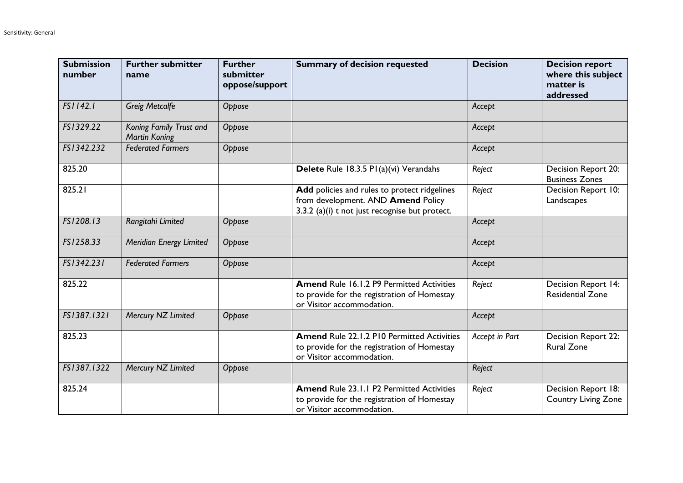| <b>Submission</b><br>number | <b>Further submitter</b><br>name                | <b>Further</b><br>submitter<br>oppose/support | <b>Summary of decision requested</b>                                                                                                 | <b>Decision</b> | <b>Decision report</b><br>where this subject<br>matter is<br>addressed |
|-----------------------------|-------------------------------------------------|-----------------------------------------------|--------------------------------------------------------------------------------------------------------------------------------------|-----------------|------------------------------------------------------------------------|
| FS1142.1                    | <b>Greig Metcalfe</b>                           | Oppose                                        |                                                                                                                                      | Accept          |                                                                        |
| FS1329.22                   | Koning Family Trust and<br><b>Martin Koning</b> | Oppose                                        |                                                                                                                                      | Accept          |                                                                        |
| FS1342.232                  | <b>Federated Farmers</b>                        | Oppose                                        |                                                                                                                                      | Accept          |                                                                        |
| 825.20                      |                                                 |                                               | Delete Rule 18.3.5 PI(a)(vi) Verandahs                                                                                               | Reject          | Decision Report 20:<br><b>Business Zones</b>                           |
| 825.21                      |                                                 |                                               | Add policies and rules to protect ridgelines<br>from development. AND Amend Policy<br>3.3.2 (a)(i) t not just recognise but protect. | Reject          | Decision Report 10:<br>Landscapes                                      |
| FS1208.13                   | Rangitahi Limited                               | Oppose                                        |                                                                                                                                      | Accept          |                                                                        |
| FS1258.33                   | Meridian Energy Limited                         | Oppose                                        |                                                                                                                                      | Accept          |                                                                        |
| FS1342.231                  | <b>Federated Farmers</b>                        | Oppose                                        |                                                                                                                                      | Accept          |                                                                        |
| 825.22                      |                                                 |                                               | <b>Amend Rule 16.1.2 P9 Permitted Activities</b><br>to provide for the registration of Homestay<br>or Visitor accommodation.         | Reject          | Decision Report 14:<br><b>Residential Zone</b>                         |
| FS1387.1321                 | Mercury NZ Limited                              | Oppose                                        |                                                                                                                                      | Accept          |                                                                        |
| 825.23                      |                                                 |                                               | <b>Amend Rule 22.1.2 P10 Permitted Activities</b><br>to provide for the registration of Homestay<br>or Visitor accommodation.        | Accept in Part  | Decision Report 22:<br><b>Rural Zone</b>                               |
| FS1387.1322                 | Mercury NZ Limited                              | Oppose                                        |                                                                                                                                      | Reject          |                                                                        |
| 825.24                      |                                                 |                                               | <b>Amend Rule 23.1.1 P2 Permitted Activities</b><br>to provide for the registration of Homestay<br>or Visitor accommodation.         | Reject          | Decision Report 18:<br><b>Country Living Zone</b>                      |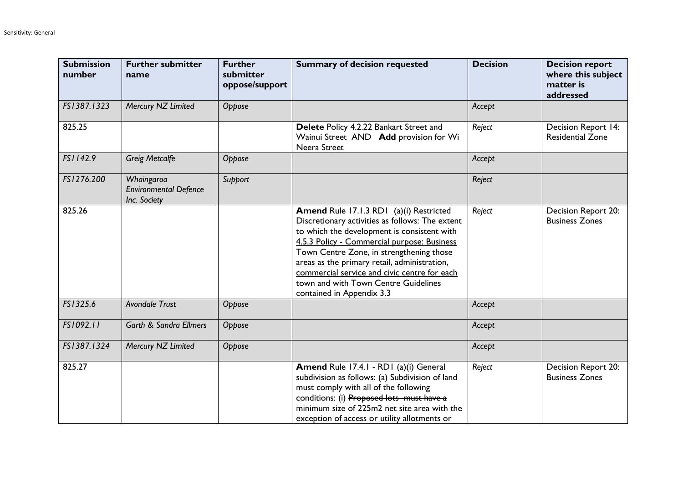| <b>Submission</b><br>number | <b>Further submitter</b><br>name                           | <b>Further</b><br>submitter<br>oppose/support | <b>Summary of decision requested</b>                                                                                                                                                                                                                                                                                                                                                                      | <b>Decision</b> | <b>Decision report</b><br>where this subject<br>matter is<br>addressed |
|-----------------------------|------------------------------------------------------------|-----------------------------------------------|-----------------------------------------------------------------------------------------------------------------------------------------------------------------------------------------------------------------------------------------------------------------------------------------------------------------------------------------------------------------------------------------------------------|-----------------|------------------------------------------------------------------------|
| FS1387.1323                 | Mercury NZ Limited                                         | Oppose                                        |                                                                                                                                                                                                                                                                                                                                                                                                           | Accept          |                                                                        |
| 825.25                      |                                                            |                                               | Delete Policy 4.2.22 Bankart Street and<br>Wainui Street AND Add provision for Wi<br>Neera Street                                                                                                                                                                                                                                                                                                         | Reject          | Decision Report 14:<br><b>Residential Zone</b>                         |
| FS1142.9                    | <b>Greig Metcalfe</b>                                      | Oppose                                        |                                                                                                                                                                                                                                                                                                                                                                                                           | Accept          |                                                                        |
| FS1276.200                  | Whaingaroa<br><b>Environmental Defence</b><br>Inc. Society | Support                                       |                                                                                                                                                                                                                                                                                                                                                                                                           | Reject          |                                                                        |
| 825.26                      |                                                            |                                               | Amend Rule 17.1.3 RD1 (a)(i) Restricted<br>Discretionary activities as follows: The extent<br>to which the development is consistent with<br>4.5.3 Policy - Commercial purpose: Business<br>Town Centre Zone, in strengthening those<br>areas as the primary retail, administration,<br>commercial service and civic centre for each<br>town and with Town Centre Guidelines<br>contained in Appendix 3.3 | Reject          | Decision Report 20:<br><b>Business Zones</b>                           |
| FS1325.6                    | <b>Avondale Trust</b>                                      | Oppose                                        |                                                                                                                                                                                                                                                                                                                                                                                                           | Accept          |                                                                        |
| FS1092.11                   | <b>Garth &amp; Sandra Ellmers</b>                          | Oppose                                        |                                                                                                                                                                                                                                                                                                                                                                                                           | Accept          |                                                                        |
| FS1387.1324                 | Mercury NZ Limited                                         | Oppose                                        |                                                                                                                                                                                                                                                                                                                                                                                                           | Accept          |                                                                        |
| 825.27                      |                                                            |                                               | Amend Rule 17.4.1 - RD1 (a)(i) General<br>subdivision as follows: (a) Subdivision of land<br>must comply with all of the following<br>conditions: (i) Proposed lots must have a<br>minimum size of 225m2 net site area with the<br>exception of access or utility allotments or                                                                                                                           | Reject          | Decision Report 20:<br><b>Business Zones</b>                           |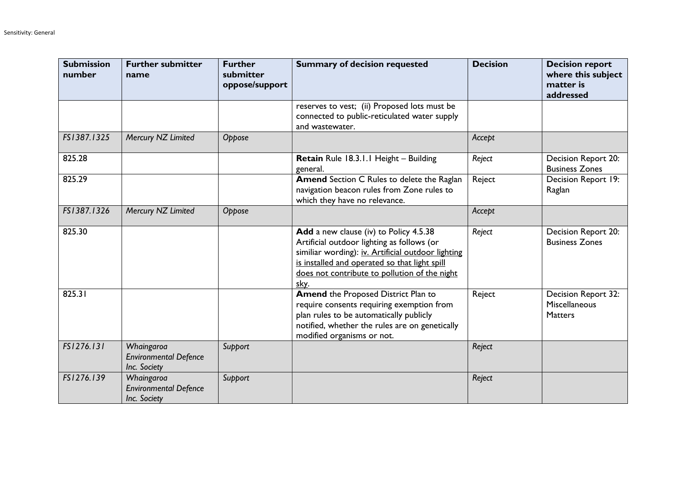| <b>Submission</b><br>number | <b>Further submitter</b><br>name                           | <b>Further</b><br>submitter<br>oppose/support | <b>Summary of decision requested</b>                                                                                                                                                                                                                 | <b>Decision</b> | <b>Decision report</b><br>where this subject<br>matter is<br>addressed |
|-----------------------------|------------------------------------------------------------|-----------------------------------------------|------------------------------------------------------------------------------------------------------------------------------------------------------------------------------------------------------------------------------------------------------|-----------------|------------------------------------------------------------------------|
|                             |                                                            |                                               | reserves to vest; (ii) Proposed lots must be<br>connected to public-reticulated water supply<br>and wastewater.                                                                                                                                      |                 |                                                                        |
| FS1387.1325                 | Mercury NZ Limited                                         | Oppose                                        |                                                                                                                                                                                                                                                      | Accept          |                                                                        |
| 825.28                      |                                                            |                                               | Retain Rule 18.3.1.1 Height - Building<br>general.                                                                                                                                                                                                   | Reject          | Decision Report 20:<br><b>Business Zones</b>                           |
| 825.29                      |                                                            |                                               | Amend Section C Rules to delete the Raglan<br>navigation beacon rules from Zone rules to<br>which they have no relevance.                                                                                                                            | Reject          | Decision Report 19:<br>Raglan                                          |
| FS1387.1326                 | Mercury NZ Limited                                         | Oppose                                        |                                                                                                                                                                                                                                                      | Accept          |                                                                        |
| 825.30                      |                                                            |                                               | Add a new clause (iv) to Policy 4.5.38<br>Artificial outdoor lighting as follows (or<br>similiar wording): iv. Artificial outdoor lighting<br>is installed and operated so that light spill<br>does not contribute to pollution of the night<br>sky. | Reject          | Decision Report 20:<br><b>Business Zones</b>                           |
| 825.31                      |                                                            |                                               | <b>Amend the Proposed District Plan to</b><br>require consents requiring exemption from<br>plan rules to be automatically publicly<br>notified, whether the rules are on genetically<br>modified organisms or not.                                   | Reject          | Decision Report 32:<br>Miscellaneous<br><b>Matters</b>                 |
| FS1276.131                  | Whaingaroa<br><b>Environmental Defence</b><br>Inc. Society | Support                                       |                                                                                                                                                                                                                                                      | Reject          |                                                                        |
| FS1276.139                  | Whaingaroa<br><b>Environmental Defence</b><br>Inc. Society | Support                                       |                                                                                                                                                                                                                                                      | Reject          |                                                                        |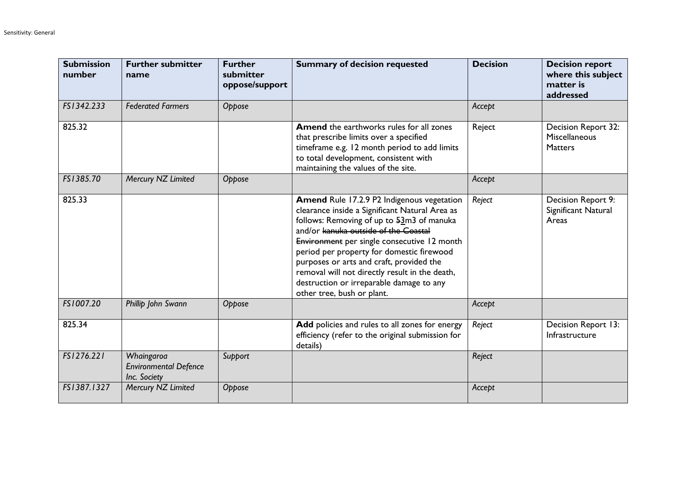| <b>Submission</b><br>number | <b>Further submitter</b><br>name                           | <b>Further</b><br>submitter<br>oppose/support | <b>Summary of decision requested</b>                                                                                                                                                                                                                                                                                                                                                                                                                    | <b>Decision</b> | <b>Decision report</b><br>where this subject<br>matter is<br>addressed |
|-----------------------------|------------------------------------------------------------|-----------------------------------------------|---------------------------------------------------------------------------------------------------------------------------------------------------------------------------------------------------------------------------------------------------------------------------------------------------------------------------------------------------------------------------------------------------------------------------------------------------------|-----------------|------------------------------------------------------------------------|
| FS1342.233                  | <b>Federated Farmers</b>                                   | Oppose                                        |                                                                                                                                                                                                                                                                                                                                                                                                                                                         | Accept          |                                                                        |
| 825.32                      |                                                            |                                               | <b>Amend</b> the earthworks rules for all zones<br>that prescribe limits over a specified<br>timeframe e.g. 12 month period to add limits<br>to total development, consistent with<br>maintaining the values of the site.                                                                                                                                                                                                                               | Reject          | Decision Report 32:<br>Miscellaneous<br><b>Matters</b>                 |
| FS1385.70                   | Mercury NZ Limited                                         | Oppose                                        |                                                                                                                                                                                                                                                                                                                                                                                                                                                         | Accept          |                                                                        |
| 825.33                      |                                                            |                                               | Amend Rule 17.2.9 P2 Indigenous vegetation<br>clearance inside a Significant Natural Area as<br>follows: Removing of up to $52m3$ of manuka<br>and/or kanuka outside of the Coastal<br>Environment per single consecutive 12 month<br>period per property for domestic firewood<br>purposes or arts and craft, provided the<br>removal will not directly result in the death,<br>destruction or irreparable damage to any<br>other tree, bush or plant. | Reject          | Decision Report 9:<br>Significant Natural<br>Areas                     |
| FS1007.20                   | Phillip John Swann                                         | Oppose                                        |                                                                                                                                                                                                                                                                                                                                                                                                                                                         | Accept          |                                                                        |
| 825.34                      |                                                            |                                               | Add policies and rules to all zones for energy<br>efficiency (refer to the original submission for<br>details)                                                                                                                                                                                                                                                                                                                                          | Reject          | Decision Report 13:<br>Infrastructure                                  |
| FS1276.221                  | Whaingaroa<br><b>Environmental Defence</b><br>Inc. Society | Support                                       |                                                                                                                                                                                                                                                                                                                                                                                                                                                         | Reject          |                                                                        |
| FS1387.1327                 | Mercury NZ Limited                                         | Oppose                                        |                                                                                                                                                                                                                                                                                                                                                                                                                                                         | Accept          |                                                                        |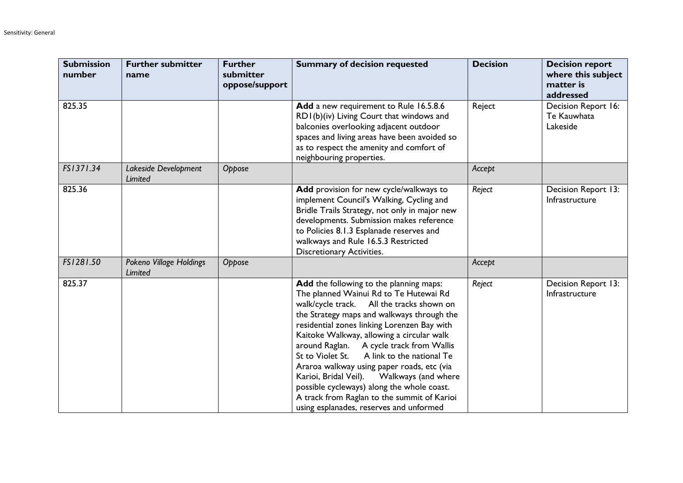| <b>Submission</b><br>number | <b>Further submitter</b><br>name   | <b>Further</b><br>submitter<br>oppose/support | <b>Summary of decision requested</b>                                                                                                                                                                                                                                                                                                                                                                                                                                                                                                                                                                     | <b>Decision</b> | <b>Decision report</b><br>where this subject<br>matter is<br>addressed |
|-----------------------------|------------------------------------|-----------------------------------------------|----------------------------------------------------------------------------------------------------------------------------------------------------------------------------------------------------------------------------------------------------------------------------------------------------------------------------------------------------------------------------------------------------------------------------------------------------------------------------------------------------------------------------------------------------------------------------------------------------------|-----------------|------------------------------------------------------------------------|
| 825.35                      |                                    |                                               | Add a new requirement to Rule 16.5.8.6<br>RDI(b)(iv) Living Court that windows and<br>balconies overlooking adjacent outdoor<br>spaces and living areas have been avoided so<br>as to respect the amenity and comfort of<br>neighbouring properties.                                                                                                                                                                                                                                                                                                                                                     | Reject          | Decision Report 16:<br>Te Kauwhata<br>Lakeside                         |
| FS1371.34                   | Lakeside Development<br>Limited    | Oppose                                        |                                                                                                                                                                                                                                                                                                                                                                                                                                                                                                                                                                                                          | Accept          |                                                                        |
| 825.36                      |                                    |                                               | Add provision for new cycle/walkways to<br>implement Council's Walking, Cycling and<br>Bridle Trails Strategy, not only in major new<br>developments. Submission makes reference<br>to Policies 8.1.3 Esplanade reserves and<br>walkways and Rule 16.5.3 Restricted<br><b>Discretionary Activities.</b>                                                                                                                                                                                                                                                                                                  | Reject          | Decision Report 13:<br>Infrastructure                                  |
| FS1281.50                   | Pokeno Village Holdings<br>Limited | Oppose                                        |                                                                                                                                                                                                                                                                                                                                                                                                                                                                                                                                                                                                          | Accept          |                                                                        |
| 825.37                      |                                    |                                               | Add the following to the planning maps:<br>The planned Wainui Rd to Te Hutewai Rd<br>walk/cycle track. All the tracks shown on<br>the Strategy maps and walkways through the<br>residential zones linking Lorenzen Bay with<br>Kaitoke Walkway, allowing a circular walk<br>around Raglan. A cycle track from Wallis<br>A link to the national Te<br>St to Violet St.<br>Araroa walkway using paper roads, etc (via<br>Karioi, Bridal Veil). Walkways (and where<br>possible cycleways) along the whole coast.<br>A track from Raglan to the summit of Karioi<br>using esplanades, reserves and unformed | Reject          | Decision Report 13:<br>Infrastructure                                  |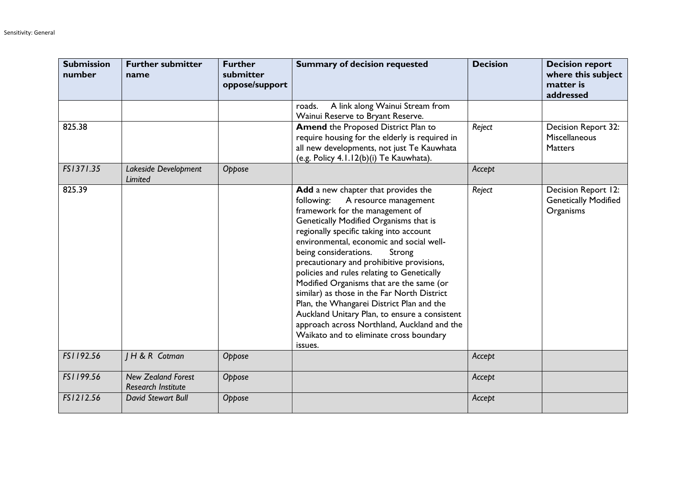| <b>Submission</b><br>number | <b>Further submitter</b><br>name                       | <b>Further</b><br>submitter<br>oppose/support | <b>Summary of decision requested</b>                                                                                                                                                                                                                                                                                                                                                                                                                                                                                                                                                                                                                                       | <b>Decision</b> | <b>Decision report</b><br>where this subject<br>matter is<br>addressed |
|-----------------------------|--------------------------------------------------------|-----------------------------------------------|----------------------------------------------------------------------------------------------------------------------------------------------------------------------------------------------------------------------------------------------------------------------------------------------------------------------------------------------------------------------------------------------------------------------------------------------------------------------------------------------------------------------------------------------------------------------------------------------------------------------------------------------------------------------------|-----------------|------------------------------------------------------------------------|
|                             |                                                        |                                               | A link along Wainui Stream from<br>roads.<br>Wainui Reserve to Bryant Reserve.                                                                                                                                                                                                                                                                                                                                                                                                                                                                                                                                                                                             |                 |                                                                        |
| 825.38                      |                                                        |                                               | <b>Amend the Proposed District Plan to</b><br>require housing for the elderly is required in<br>all new developments, not just Te Kauwhata<br>(e.g. Policy 4.1.12(b)(i) Te Kauwhata).                                                                                                                                                                                                                                                                                                                                                                                                                                                                                      | Reject          | Decision Report 32:<br>Miscellaneous<br><b>Matters</b>                 |
| FS1371.35                   | Lakeside Development<br>Limited                        | Oppose                                        |                                                                                                                                                                                                                                                                                                                                                                                                                                                                                                                                                                                                                                                                            | Accept          |                                                                        |
| 825.39                      |                                                        |                                               | Add a new chapter that provides the<br>following:<br>A resource management<br>framework for the management of<br>Genetically Modified Organisms that is<br>regionally specific taking into account<br>environmental, economic and social well-<br>being considerations.<br>Strong<br>precautionary and prohibitive provisions,<br>policies and rules relating to Genetically<br>Modified Organisms that are the same (or<br>similar) as those in the Far North District<br>Plan, the Whangarei District Plan and the<br>Auckland Unitary Plan, to ensure a consistent<br>approach across Northland, Auckland and the<br>Waikato and to eliminate cross boundary<br>issues. | Reject          | Decision Report 12:<br><b>Genetically Modified</b><br>Organisms        |
| FS1192.56                   | H & R Cotman                                           | Oppose                                        |                                                                                                                                                                                                                                                                                                                                                                                                                                                                                                                                                                                                                                                                            | Accept          |                                                                        |
| FS1199.56                   | <b>New Zealand Forest</b><br><b>Research Institute</b> | Oppose                                        |                                                                                                                                                                                                                                                                                                                                                                                                                                                                                                                                                                                                                                                                            | Accept          |                                                                        |
| FS1212.56                   | <b>David Stewart Bull</b>                              | Oppose                                        |                                                                                                                                                                                                                                                                                                                                                                                                                                                                                                                                                                                                                                                                            | Accept          |                                                                        |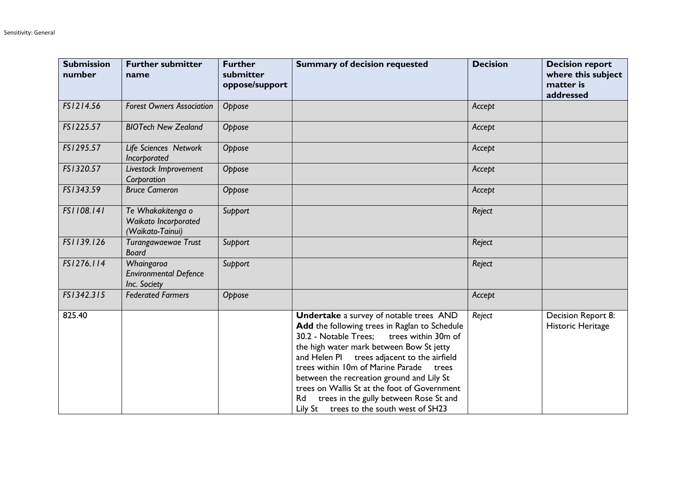| <b>Submission</b><br>number | <b>Further submitter</b><br>name                              | <b>Further</b><br>submitter<br>oppose/support | <b>Summary of decision requested</b>                                                                                                                                                                                                                                                                                                                                                                                                                                          | <b>Decision</b> | <b>Decision report</b><br>where this subject<br>matter is<br>addressed |
|-----------------------------|---------------------------------------------------------------|-----------------------------------------------|-------------------------------------------------------------------------------------------------------------------------------------------------------------------------------------------------------------------------------------------------------------------------------------------------------------------------------------------------------------------------------------------------------------------------------------------------------------------------------|-----------------|------------------------------------------------------------------------|
| FS1214.56                   | <b>Forest Owners Association</b>                              | Oppose                                        |                                                                                                                                                                                                                                                                                                                                                                                                                                                                               | Accept          |                                                                        |
| FS1225.57                   | <b>BIOTech New Zealand</b>                                    | Oppose                                        |                                                                                                                                                                                                                                                                                                                                                                                                                                                                               | Accept          |                                                                        |
| FS1295.57                   | Life Sciences Network<br>Incorporated                         | Oppose                                        |                                                                                                                                                                                                                                                                                                                                                                                                                                                                               | Accept          |                                                                        |
| FS1320.57                   | Livestock Improvement<br>Corporation                          | Oppose                                        |                                                                                                                                                                                                                                                                                                                                                                                                                                                                               | Accept          |                                                                        |
| FS1343.59                   | <b>Bruce Cameron</b>                                          | Oppose                                        |                                                                                                                                                                                                                                                                                                                                                                                                                                                                               | Accept          |                                                                        |
| FS1108.141                  | Te Whakakitenga o<br>Waikato Incorporated<br>(Waikato-Tainui) | Support                                       |                                                                                                                                                                                                                                                                                                                                                                                                                                                                               | Reject          |                                                                        |
| FS1139.126                  | Turangawaewae Trust<br><b>Board</b>                           | Support                                       |                                                                                                                                                                                                                                                                                                                                                                                                                                                                               | Reject          |                                                                        |
| FS1276.114                  | Whaingaroa<br><b>Environmental Defence</b><br>Inc. Society    | Support                                       |                                                                                                                                                                                                                                                                                                                                                                                                                                                                               | Reject          |                                                                        |
| FS1342.315                  | <b>Federated Farmers</b>                                      | Oppose                                        |                                                                                                                                                                                                                                                                                                                                                                                                                                                                               | Accept          |                                                                        |
| 825.40                      |                                                               |                                               | <b>Undertake</b> a survey of notable trees AND<br>Add the following trees in Raglan to Schedule<br>30.2 - Notable Trees; trees within 30m of<br>the high water mark between Bow St jetty<br>and Helen PI trees adjacent to the airfield<br>trees within 10m of Marine Parade<br>trees<br>between the recreation ground and Lily St<br>trees on Wallis St at the foot of Government<br>trees in the gully between Rose St and<br>Rd<br>Lily St trees to the south west of SH23 | Reject          | Decision Report 8:<br>Historic Heritage                                |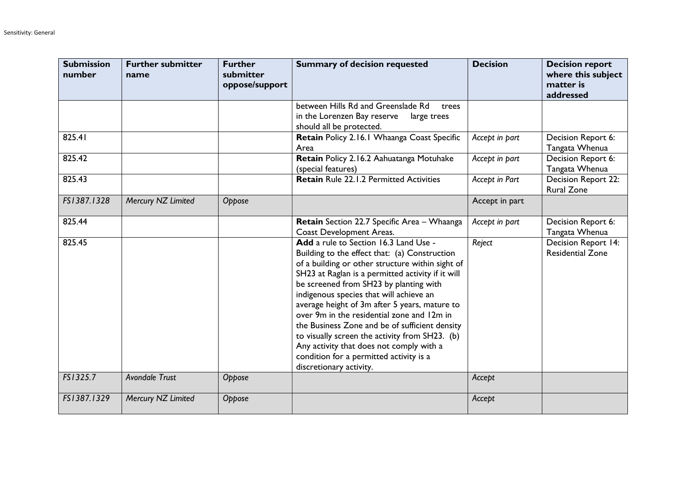| <b>Submission</b><br>number | <b>Further submitter</b><br>name | <b>Further</b><br>submitter<br>oppose/support | <b>Summary of decision requested</b>                                                                                                                                                                                                                                                                                                                                                                                                                                                                                                                                                                      | <b>Decision</b> | <b>Decision report</b><br>where this subject<br>matter is<br>addressed |
|-----------------------------|----------------------------------|-----------------------------------------------|-----------------------------------------------------------------------------------------------------------------------------------------------------------------------------------------------------------------------------------------------------------------------------------------------------------------------------------------------------------------------------------------------------------------------------------------------------------------------------------------------------------------------------------------------------------------------------------------------------------|-----------------|------------------------------------------------------------------------|
|                             |                                  |                                               | between Hills Rd and Greenslade Rd<br>trees<br>in the Lorenzen Bay reserve<br>large trees<br>should all be protected.                                                                                                                                                                                                                                                                                                                                                                                                                                                                                     |                 |                                                                        |
| 825.41                      |                                  |                                               | Retain Policy 2.16.1 Whaanga Coast Specific<br>Area                                                                                                                                                                                                                                                                                                                                                                                                                                                                                                                                                       | Accept in part  | Decision Report 6:<br>Tangata Whenua                                   |
| 825.42                      |                                  |                                               | Retain Policy 2.16.2 Aahuatanga Motuhake<br>(special features)                                                                                                                                                                                                                                                                                                                                                                                                                                                                                                                                            | Accept in part  | Decision Report 6:<br>Tangata Whenua                                   |
| 825.43                      |                                  |                                               | <b>Retain Rule 22.1.2 Permitted Activities</b>                                                                                                                                                                                                                                                                                                                                                                                                                                                                                                                                                            | Accept in Part  | Decision Report 22:<br><b>Rural Zone</b>                               |
| FS1387.1328                 | Mercury NZ Limited               | Oppose                                        |                                                                                                                                                                                                                                                                                                                                                                                                                                                                                                                                                                                                           | Accept in part  |                                                                        |
| 825.44                      |                                  |                                               | Retain Section 22.7 Specific Area - Whaanga<br><b>Coast Development Areas.</b>                                                                                                                                                                                                                                                                                                                                                                                                                                                                                                                            | Accept in part  | Decision Report 6:<br>Tangata Whenua                                   |
| 825.45                      |                                  |                                               | Add a rule to Section 16.3 Land Use -<br>Building to the effect that: (a) Construction<br>of a building or other structure within sight of<br>SH23 at Raglan is a permitted activity if it will<br>be screened from SH23 by planting with<br>indigenous species that will achieve an<br>average height of 3m after 5 years, mature to<br>over 9m in the residential zone and 12m in<br>the Business Zone and be of sufficient density<br>to visually screen the activity from SH23. (b)<br>Any activity that does not comply with a<br>condition for a permitted activity is a<br>discretionary activity. | Reject          | Decision Report 14:<br><b>Residential Zone</b>                         |
| FS1325.7                    | <b>Avondale Trust</b>            | Oppose                                        |                                                                                                                                                                                                                                                                                                                                                                                                                                                                                                                                                                                                           | Accept          |                                                                        |
| FS1387.1329                 | Mercury NZ Limited               | Oppose                                        |                                                                                                                                                                                                                                                                                                                                                                                                                                                                                                                                                                                                           | Accept          |                                                                        |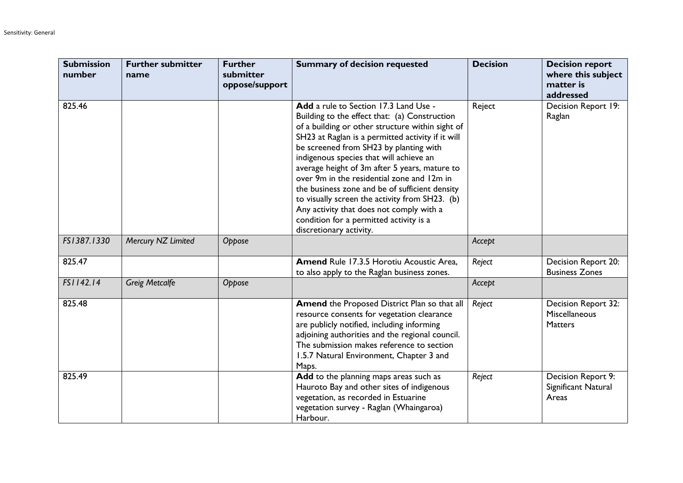| <b>Submission</b><br>number | <b>Further submitter</b><br>name | <b>Further</b><br>submitter<br>oppose/support | <b>Summary of decision requested</b>                                                                                                                                                                                                                                                                                                                                                                                                                                                                                                                                                                      | <b>Decision</b> | <b>Decision report</b><br>where this subject<br>matter is<br>addressed |
|-----------------------------|----------------------------------|-----------------------------------------------|-----------------------------------------------------------------------------------------------------------------------------------------------------------------------------------------------------------------------------------------------------------------------------------------------------------------------------------------------------------------------------------------------------------------------------------------------------------------------------------------------------------------------------------------------------------------------------------------------------------|-----------------|------------------------------------------------------------------------|
| 825.46                      |                                  |                                               | Add a rule to Section 17.3 Land Use -<br>Building to the effect that: (a) Construction<br>of a building or other structure within sight of<br>SH23 at Raglan is a permitted activity if it will<br>be screened from SH23 by planting with<br>indigenous species that will achieve an<br>average height of 3m after 5 years, mature to<br>over 9m in the residential zone and 12m in<br>the business zone and be of sufficient density<br>to visually screen the activity from SH23. (b)<br>Any activity that does not comply with a<br>condition for a permitted activity is a<br>discretionary activity. | Reject          | Decision Report 19:<br>Raglan                                          |
| FS1387.1330                 | Mercury NZ Limited               | Oppose                                        |                                                                                                                                                                                                                                                                                                                                                                                                                                                                                                                                                                                                           | Accept          |                                                                        |
| 825.47                      |                                  |                                               | Amend Rule 17.3.5 Horotiu Acoustic Area,<br>to also apply to the Raglan business zones.                                                                                                                                                                                                                                                                                                                                                                                                                                                                                                                   | Reject          | Decision Report 20:<br><b>Business Zones</b>                           |
| FS1142.14                   | <b>Greig Metcalfe</b>            | Oppose                                        |                                                                                                                                                                                                                                                                                                                                                                                                                                                                                                                                                                                                           | Accept          |                                                                        |
| 825.48                      |                                  |                                               | Amend the Proposed District Plan so that all<br>resource consents for vegetation clearance<br>are publicly notified, including informing<br>adjoining authorities and the regional council.<br>The submission makes reference to section<br>1.5.7 Natural Environment, Chapter 3 and<br>Maps.                                                                                                                                                                                                                                                                                                             | Reject          | Decision Report 32:<br>Miscellaneous<br><b>Matters</b>                 |
| 825.49                      |                                  |                                               | Add to the planning maps areas such as<br>Hauroto Bay and other sites of indigenous<br>vegetation, as recorded in Estuarine<br>vegetation survey - Raglan (Whaingaroa)<br>Harbour.                                                                                                                                                                                                                                                                                                                                                                                                                        | Reject          | Decision Report 9:<br>Significant Natural<br>Areas                     |